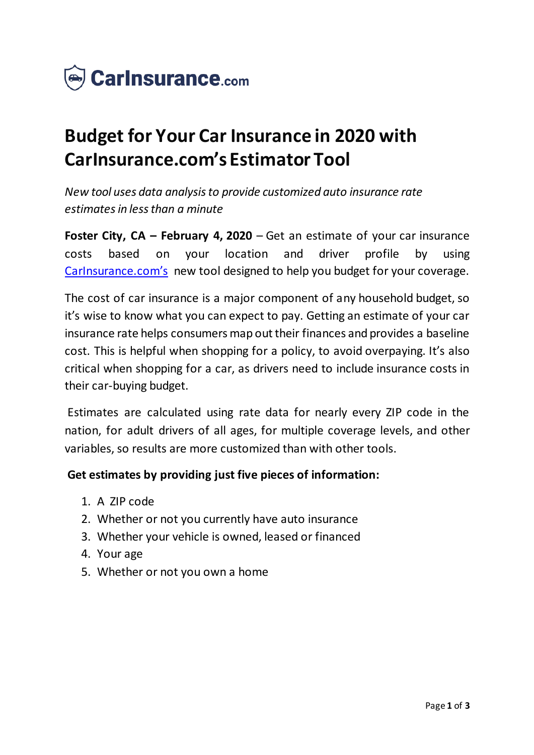

# **Budget for Your Car Insurance in 2020 with CarInsurance.com's Estimator Tool**

*New tool uses data analysis to provide customized auto insurance rate estimates in less than a minute* 

**Foster City, CA – February 4, 2020** – Get an estimate of your car insurance costs based on your location and driver profile by using [CarInsurance.com's](https://www.carinsurance.com/) new tool designed to help you budget for your coverage.

The cost of car insurance is a major component of any household budget, so it's wise to know what you can expect to pay. Getting an estimate of your car insurance rate helps consumers map out their finances and provides a baseline cost. This is helpful when shopping for a policy, to avoid overpaying. It's also critical when shopping for a car, as drivers need to include insurance costs in their car-buying budget.

Estimates are calculated using rate data for nearly every ZIP code in the nation, for adult drivers of all ages, for multiple coverage levels, and other variables, so results are more customized than with other tools.

# **Get estimates by providing just five pieces of information:**

- 1. A ZIP code
- 2. Whether or not you currently have auto insurance
- 3. Whether your vehicle is owned, leased or financed
- 4. Your age
- 5. Whether or not you own a home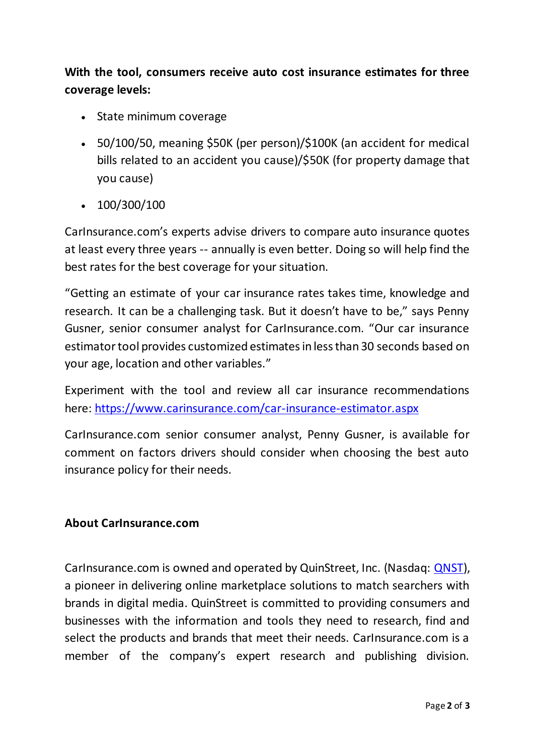# **With the tool, consumers receive auto cost insurance estimates for three coverage levels:**

- State minimum coverage
- 50/100/50, meaning \$50K (per person)/\$100K (an accident for medical bills related to an accident you cause)/\$50K (for property damage that you cause)
- $\cdot$  100/300/100

CarInsurance.com's experts advise drivers to compare auto insurance quotes at least every three years -- annually is even better. Doing so will help find the best rates for the best coverage for your situation.

"Getting an estimate of your car insurance rates takes time, knowledge and research. It can be a challenging task. But it doesn't have to be," says Penny Gusner, senior consumer analyst for CarInsurance.com. "Our car insurance estimator tool provides customized estimates in less than 30 seconds based on your age, location and other variables."

Experiment with the tool and review all car insurance recommendations here: [https://www.carinsurance.com/car-insurance-estimator.asp](https://www.carinsurance.com/car-insurance-estimator.aspx)x

CarInsurance.com senior consumer analyst, Penny Gusner, is available for comment on factors drivers should consider when choosing the best auto insurance policy for their needs.

# **About CarInsurance.com**

CarInsurance.com is owned and operated by QuinStreet, Inc. (Nasdaq: [QNST\)](https://www.globenewswire.com/Tracker?data=nIE80Pg4a4CF_2hibnrCwRdYrY-HFtd7HRKnYBpfLjdk8-fWdjzFAv5PNFXp51BdodbCvC6QVxm_2Yue2ZEIsw==), a pioneer in delivering online marketplace solutions to match searchers with brands in digital media. QuinStreet is committed to providing consumers and businesses with the information and tools they need to research, find and select the products and brands that meet their needs. CarInsurance.com is a member of the company's expert research and publishing division.